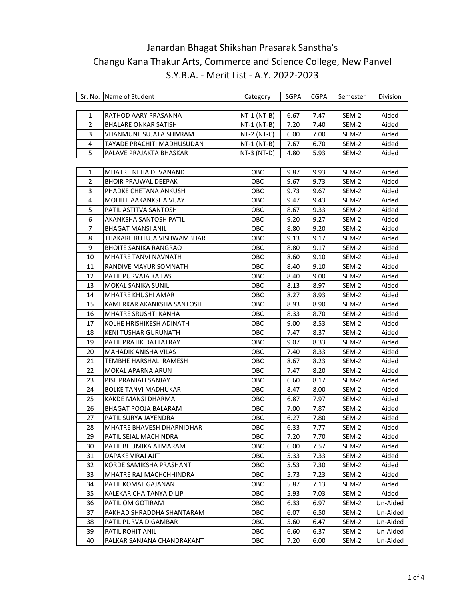|                | Sr. No. Name of Student      | Category      | SGPA | CGPA | Semester | Division |
|----------------|------------------------------|---------------|------|------|----------|----------|
|                |                              |               |      |      |          |          |
| 1              | RATHOD AARY PRASANNA         | $NT-1$ (NT-B) | 6.67 | 7.47 | SEM-2    | Aided    |
| $\overline{2}$ | <b>BHALARE ONKAR SATISH</b>  | $NT-1 (NT-B)$ | 7.20 | 7.40 | SEM-2    | Aided    |
| 3              | VHANMUNE SUJATA SHIVRAM      | $NT-2 (NT-C)$ | 6.00 | 7.00 | SEM-2    | Aided    |
| 4              | TAYADE PRACHITI MADHUSUDAN   | $NT-1 (NT-B)$ | 7.67 | 6.70 | SEM-2    | Aided    |
| 5              | PALAVE PRAJAKTA BHASKAR      | $NT-3$ (NT-D) | 4.80 | 5.93 | SEM-2    | Aided    |
|                |                              |               |      |      |          |          |
| 1              | MHATRE NEHA DEVANAND         | OBC           | 9.87 | 9.93 | SEM-2    | Aided    |
| $\overline{2}$ | <b>BHOIR PRAJWAL DEEPAK</b>  | OBC           | 9.67 | 9.73 | SEM-2    | Aided    |
| 3              | PHADKE CHETANA ANKUSH        | OBC           | 9.73 | 9.67 | SEM-2    | Aided    |
| 4              | MOHITE AAKANKSHA VIJAY       | <b>OBC</b>    | 9.47 | 9.43 | SEM-2    | Aided    |
| 5              | PATIL ASTITVA SANTOSH        | OBC           | 8.67 | 9.33 | SEM-2    | Aided    |
| 6              | AKANKSHA SANTOSH PATIL       | ОВС           | 9.20 | 9.27 | SEM-2    | Aided    |
| 7              | <b>BHAGAT MANSI ANIL</b>     | OBC           | 8.80 | 9.20 | SEM-2    | Aided    |
| 8              | THAKARE RUTUJA VISHWAMBHAR   | OBC           | 9.13 | 9.17 | SEM-2    | Aided    |
| 9              | <b>BHOITE SANIKA RANGRAO</b> | OBC           | 8.80 | 9.17 | SEM-2    | Aided    |
| 10             | <b>MHATRE TANVI NAVNATH</b>  | <b>OBC</b>    | 8.60 | 9.10 | SEM-2    | Aided    |
| 11             | RANDIVE MAYUR SOMNATH        | <b>OBC</b>    | 8.40 | 9.10 | SEM-2    | Aided    |
| 12             | PATIL PURVAJA KAILAS         | ОВС           | 8.40 | 9.00 | SEM-2    | Aided    |
| 13             | MOKAL SANIKA SUNIL           | ОВС           | 8.13 | 8.97 | SEM-2    | Aided    |
| 14             | MHATRE KHUSHI AMAR           | OBC           | 8.27 | 8.93 | SEM-2    | Aided    |
| 15             | KAMERKAR AKANKSHA SANTOSH    | OBC           | 8.93 | 8.90 | SEM-2    | Aided    |
| 16             | <b>MHATRE SRUSHTI KANHA</b>  | OBC           | 8.33 | 8.70 | SEM-2    | Aided    |
| 17             | KOLHE HRISHIKESH ADINATH     | OBC           | 9.00 | 8.53 | SEM-2    | Aided    |
| 18             | KENI TUSHAR GURUNATH         | ОВС           | 7.47 | 8.37 | SEM-2    | Aided    |
| 19             | PATIL PRATIK DATTATRAY       | OBC           | 9.07 | 8.33 | SEM-2    | Aided    |
| 20             | <b>MAHADIK ANISHA VILAS</b>  | OBC.          | 7.40 | 8.33 | SEM-2    | Aided    |
| 21             | TEMBHE HARSHALI RAMESH       | OBC           | 8.67 | 8.23 | SEM-2    | Aided    |
| 22             | MOKAL APARNA ARUN            | OBC           | 7.47 | 8.20 | SEM-2    | Aided    |
| 23             | PISE PRANJALI SANJAY         | OBC           | 6.60 | 8.17 | SEM-2    | Aided    |
| 24             | <b>BOLKE TANVI MADHUKAR</b>  | OBC.          | 8.47 | 8.00 | SEM-2    | Aided    |
| 25             | KAKDE MANSI DHARMA           | OBC           | 6.87 | 7.97 | SEM-2    | Aided    |
| 26             | BHAGAT POOJA BALARAM         | OBC           | 7.00 | 7.87 | SEM-2    | Aided    |
| 27             | PATIL SURYA JAYENDRA         | OBC           | 6.27 | 7.80 | SEM-2    | Aided    |
| 28             | MHATRE BHAVESH DHARNIDHAR    | ОВС           | 6.33 | 7.77 | SEM-2    | Aided    |
| 29             | PATIL SEJAL MACHINDRA        | OBC           | 7.20 | 7.70 | SEM-2    | Aided    |
| 30             | PATIL BHUMIKA ATMARAM        | OBC           | 6.00 | 7.57 | SEM-2    | Aided    |
| 31             | DAPAKE VIRAJ AJIT            | OBC           | 5.33 | 7.33 | SEM-2    | Aided    |
| 32             | KORDE SAMIKSHA PRASHANT      | OBC           | 5.53 | 7.30 | SEM-2    | Aided    |
| 33             | MHATRE RAJ MACHCHHINDRA      | <b>OBC</b>    | 5.73 | 7.23 | SEM-2    | Aided    |
| 34             | PATIL KOMAL GAJANAN          | <b>OBC</b>    | 5.87 | 7.13 | SEM-2    | Aided    |
| 35             | KALEKAR CHAITANYA DILIP      | <b>OBC</b>    | 5.93 | 7.03 | SEM-2    | Aided    |
| 36             | PATIL OM GOTIRAM             | <b>OBC</b>    | 6.33 | 6.97 | SEM-2    | Un-Aided |
| 37             | PAKHAD SHRADDHA SHANTARAM    | <b>OBC</b>    | 6.07 | 6.50 | SEM-2    | Un-Aided |
| 38             | PATIL PURVA DIGAMBAR         | OBC           | 5.60 | 6.47 | SEM-2    | Un-Aided |
| 39             | PATIL ROHIT ANIL             | <b>OBC</b>    | 6.60 | 6.37 | SEM-2    | Un-Aided |
| 40             | PALKAR SANJANA CHANDRAKANT   | <b>OBC</b>    | 7.20 | 6.00 | SEM-2    | Un-Aided |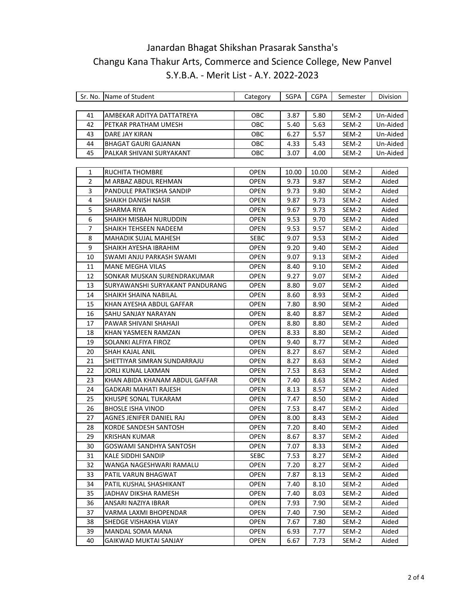|    | Sr. No. Name of Student         | Category    | SGPA  | <b>CGPA</b> | Semester | Division |
|----|---------------------------------|-------------|-------|-------------|----------|----------|
|    |                                 |             |       |             |          |          |
| 41 | AMBEKAR ADITYA DATTATREYA       | <b>OBC</b>  | 3.87  | 5.80        | SEM-2    | Un-Aided |
| 42 | PETKAR PRATHAM UMESH            | OBC         | 5.40  | 5.63        | SEM-2    | Un-Aided |
| 43 | DARE JAY KIRAN                  | OBC         | 6.27  | 5.57        | SEM-2    | Un-Aided |
| 44 | <b>BHAGAT GAURI GAJANAN</b>     | <b>OBC</b>  | 4.33  | 5.43        | SEM-2    | Un-Aided |
| 45 | PALKAR SHIVANI SURYAKANT        | OBC.        | 3.07  | 4.00        | SEM-2    | Un-Aided |
|    |                                 |             |       |             |          |          |
| 1  | RUCHITA THOMBRE                 | OPEN        | 10.00 | 10.00       | SEM-2    | Aided    |
| 2  | M ARBAZ ABDUL REHMAN            | OPEN        | 9.73  | 9.87        | SEM-2    | Aided    |
| 3  | PANDULE PRATIKSHA SANDIP        | OPEN        | 9.73  | 9.80        | SEM-2    | Aided    |
| 4  | SHAIKH DANISH NASIR             | <b>OPEN</b> | 9.87  | 9.73        | SEM-2    | Aided    |
| 5  | SHARMA RIYA                     | OPEN        | 9.67  | 9.73        | SEM-2    | Aided    |
| 6  | SHAIKH MISBAH NURUDDIN          | OPEN        | 9.53  | 9.70        | SEM-2    | Aided    |
| 7  | SHAIKH TEHSEEN NADEEM           | OPEN        | 9.53  | 9.57        | SEM-2    | Aided    |
| 8  | MAHADIK SUJAL MAHESH            | <b>SEBC</b> | 9.07  | 9.53        | SEM-2    | Aided    |
| 9  | SHAIKH AYESHA IBRAHIM           | OPEN        | 9.20  | 9.40        | SEM-2    | Aided    |
| 10 | SWAMI ANJU PARKASH SWAMI        | OPEN        | 9.07  | 9.13        | SEM-2    | Aided    |
| 11 | <b>MANE MEGHA VILAS</b>         | <b>OPEN</b> | 8.40  | 9.10        | SEM-2    | Aided    |
| 12 | SONKAR MUSKAN SURENDRAKUMAR     | OPEN        | 9.27  | 9.07        | SEM-2    | Aided    |
| 13 | SURYAWANSHI SURYAKANT PANDURANG | OPEN        | 8.80  | 9.07        | SEM-2    | Aided    |
| 14 | SHAIKH SHAINA NABILAL           | OPEN        | 8.60  | 8.93        | SEM-2    | Aided    |
| 15 | KHAN AYESHA ABDUL GAFFAR        | OPEN        | 7.80  | 8.90        | SEM-2    | Aided    |
| 16 | SAHU SANJAY NARAYAN             | OPEN        | 8.40  | 8.87        | SEM-2    | Aided    |
| 17 | PAWAR SHIVANI SHAHAJI           | <b>OPEN</b> | 8.80  | 8.80        | SEM-2    | Aided    |
| 18 | KHAN YASMEEN RAMZAN             | OPEN        | 8.33  | 8.80        | SEM-2    | Aided    |
| 19 | SOLANKI ALFIYA FIROZ            | OPEN        | 9.40  | 8.77        | SEM-2    | Aided    |
| 20 | SHAH KAJAL ANIL                 | OPEN        | 8.27  | 8.67        | SEM-2    | Aided    |
| 21 | SHETTIYAR SIMRAN SUNDARRAJU     | OPEN        | 8.27  | 8.63        | SEM-2    | Aided    |
| 22 | JORLI KUNAL LAXMAN              | OPEN        | 7.53  | 8.63        | SEM-2    | Aided    |
| 23 | KHAN ABIDA KHANAM ABDUL GAFFAR  | <b>OPEN</b> | 7.40  | 8.63        | SEM-2    | Aided    |
| 24 | <b>GADKARI MAHATI RAJESH</b>    | <b>OPEN</b> | 8.13  | 8.57        | SEM-2    | Aided    |
| 25 | KHUSPE SONAL TUKARAM            | OPEN        | 7.47  | 8.50        | SEM-2    | Aided    |
| 26 | <b>BHOSLE ISHA VINOD</b>        | OPEN        | 7.53  | 8.47        | SEM-2    | Aided    |
| 27 | AGNES JENIFER DANIEL RAJ        | OPEN        | 8.00  | 8.43        | SEM-2    | Aided    |
| 28 | KORDE SANDESH SANTOSH           | OPEN        | 7.20  | 8.40        | SEM-2    | Aided    |
| 29 | <b>KRISHAN KUMAR</b>            | <b>OPEN</b> | 8.67  | 8.37        | SEM-2    | Aided    |
| 30 | GOSWAMI SANDHYA SANTOSH         | <b>OPEN</b> | 7.07  | 8.33        | SEM-2    | Aided    |
| 31 | KALE SIDDHI SANDIP              | <b>SEBC</b> | 7.53  | 8.27        | SEM-2    | Aided    |
| 32 | WANGA NAGESHWARI RAMALU         | <b>OPEN</b> | 7.20  | 8.27        | SEM-2    | Aided    |
| 33 | PATIL VARUN BHAGWAT             | <b>OPEN</b> | 7.87  | 8.13        | SEM-2    | Aided    |
| 34 | PATIL KUSHAL SHASHIKANT         | <b>OPEN</b> | 7.40  | 8.10        | SEM-2    | Aided    |
| 35 | JADHAV DIKSHA RAMESH            | <b>OPEN</b> | 7.40  | 8.03        | SEM-2    | Aided    |
| 36 | ANSARI NAZIYA IBRAR             | <b>OPEN</b> | 7.93  | 7.90        | SEM-2    | Aided    |
| 37 | VARMA LAXMI BHOPENDAR           | <b>OPEN</b> | 7.40  | 7.90        | SEM-2    | Aided    |
| 38 | SHEDGE VISHAKHA VIJAY           | <b>OPEN</b> | 7.67  | 7.80        | SEM-2    | Aided    |
| 39 | MANDAL SOMA MANA                | OPEN        | 6.93  | 7.77        | SEM-2    | Aided    |
| 40 | GAIKWAD MUKTAI SANJAY           | <b>OPEN</b> | 6.67  | 7.73        | SEM-2    | Aided    |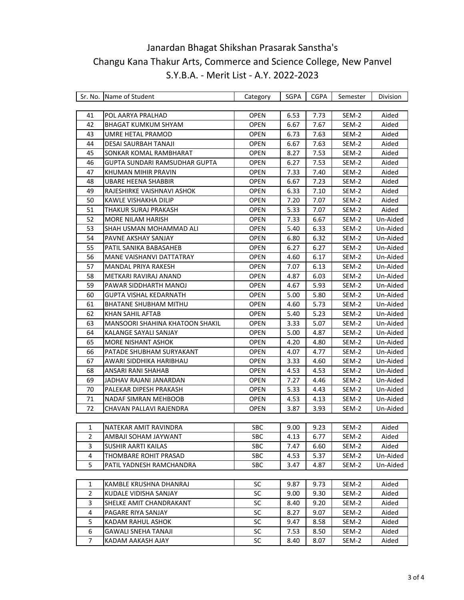|                | Sr. No. Name of Student         | Category    | SGPA | <b>CGPA</b> | Semester | Division |
|----------------|---------------------------------|-------------|------|-------------|----------|----------|
|                |                                 |             |      |             |          |          |
| 41             | POL AARYA PRALHAD               | <b>OPEN</b> | 6.53 | 7.73        | SEM-2    | Aided    |
| 42             | BHAGAT KUMKUM SHYAM             | OPEN        | 6.67 | 7.67        | SEM-2    | Aided    |
| 43             | UMRE HETAL PRAMOD               | <b>OPEN</b> | 6.73 | 7.63        | SEM-2    | Aided    |
| 44             | DESAI SAURBAH TANAJI            | <b>OPEN</b> | 6.67 | 7.63        | SEM-2    | Aided    |
| 45             | SONKAR KOMAL RAMBHARAT          | <b>OPEN</b> | 8.27 | 7.53        | SEM-2    | Aided    |
| 46             | GUPTA SUNDARI RAMSUDHAR GUPTA   | <b>OPEN</b> | 6.27 | 7.53        | SEM-2    | Aided    |
| 47             | KHUMAN MIHIR PRAVIN             | <b>OPEN</b> | 7.33 | 7.40        | SEM-2    | Aided    |
| 48             | UBARE HEENA SHABBIR             | <b>OPEN</b> | 6.67 | 7.23        | SEM-2    | Aided    |
| 49             | RAJESHIRKE VAISHNAVI ASHOK      | <b>OPEN</b> | 6.33 | 7.10        | SEM-2    | Aided    |
| 50             | KAWLE VISHAKHA DILIP            | <b>OPEN</b> | 7.20 | 7.07        | SEM-2    | Aided    |
| 51             | THAKUR SURAJ PRAKASH            | OPEN        | 5.33 | 7.07        | SEM-2    | Aided    |
| 52             | MORE NILAM HARISH               | <b>OPEN</b> | 7.33 | 6.67        | SEM-2    | Un-Aided |
| 53             | SHAH USMAN MOHAMMAD ALI         | OPEN        | 5.40 | 6.33        | SEM-2    | Un-Aided |
| 54             | PAVNE AKSHAY SANJAY             | OPEN        | 6.80 | 6.32        | SEM-2    | Un-Aided |
| 55             | PATIL SANIKA BABASAHEB          | <b>OPEN</b> | 6.27 | 6.27        | SEM-2    | Un-Aided |
| 56             | MANE VAISHANVI DATTATRAY        | <b>OPEN</b> | 4.60 | 6.17        | SEM-2    | Un-Aided |
| 57             | MANDAL PRIYA RAKESH             | <b>OPEN</b> | 7.07 | 6.13        | SEM-2    | Un-Aided |
| 58             | METKARI RAVIRAJ ANAND           | <b>OPEN</b> | 4.87 | 6.03        | SEM-2    | Un-Aided |
| 59             | PAWAR SIDDHARTH MANOJ           | <b>OPEN</b> | 4.67 | 5.93        | SEM-2    | Un-Aided |
| 60             | GUPTA VISHAL KEDARNATH          | OPEN        | 5.00 | 5.80        | SEM-2    | Un-Aided |
| 61             | <b>BHATANE SHUBHAM MITHU</b>    | OPEN        | 4.60 | 5.73        | SEM-2    | Un-Aided |
| 62             | KHAN SAHIL AFTAB                | OPEN        | 5.40 | 5.23        | SEM-2    | Un-Aided |
| 63             | MANSOORI SHAHINA KHATOON SHAKIL | <b>OPEN</b> | 3.33 | 5.07        | SEM-2    | Un-Aided |
| 64             | KALANGE SAYALI SANJAY           | <b>OPEN</b> | 5.00 | 4.87        | SEM-2    | Un-Aided |
| 65             | MORE NISHANT ASHOK              | <b>OPEN</b> | 4.20 | 4.80        | SEM-2    | Un-Aided |
| 66             | PATADE SHUBHAM SURYAKANT        | <b>OPEN</b> | 4.07 | 4.77        | SEM-2    | Un-Aided |
| 67             | AWARI SIDDHIKA HARIBHAU         | OPEN        | 3.33 | 4.60        | SEM-2    | Un-Aided |
| 68             | ANSARI RANI SHAHAB              | <b>OPEN</b> | 4.53 | 4.53        | SEM-2    | Un-Aided |
| 69             | JADHAV RAJANI JANARDAN          | <b>OPEN</b> | 7.27 | 4.46        | SEM-2    | Un-Aided |
| 70             | PALEKAR DIPESH PRAKASH          | <b>OPEN</b> | 5.33 | 4.43        | SEM-2    | Un-Aided |
| 71             | NADAF SIMRAN MEHBOOB            | <b>OPEN</b> | 4.53 | 4.13        | SEM-2    | Un-Aided |
| 72             | CHAVAN PALLAVI RAJENDRA         | OPEN        | 3.87 | 3.93        | SEM-2    | Un-Aided |
|                |                                 |             |      |             |          |          |
| $\mathbf{1}$   | NATEKAR AMIT RAVINDRA           | SBC         | 9.00 | 9.23        | SEM-2    | Aided    |
| 2              | AMBAJI SOHAM JAYWANT            | <b>SBC</b>  | 4.13 | 6.77        | SEM-2    | Aided    |
| 3              | <b>SUSHIR AARTI KAILAS</b>      | <b>SBC</b>  | 7.47 | 6.60        | SEM-2    | Aided    |
| 4              | THOMBARE ROHIT PRASAD           | SBC         | 4.53 | 5.37        | SEM-2    | Un-Aided |
| 5              | PATIL YADNESH RAMCHANDRA        | <b>SBC</b>  | 3.47 | 4.87        | SEM-2    | Un-Aided |
|                |                                 |             |      |             |          |          |
| 1              | KAMBLE KRUSHNA DHANRAJ          | <b>SC</b>   | 9.87 | 9.73        | SEM-2    | Aided    |
| 2              | KUDALE VIDISHA SANJAY           | SC          | 9.00 | 9.30        | SEM-2    | Aided    |
| 3              | SHELKE AMIT CHANDRAKANT         | SC          | 8.40 | 9.20        | SEM-2    | Aided    |
| 4              | PAGARE RIYA SANJAY              | <b>SC</b>   | 8.27 | 9.07        | SEM-2    | Aided    |
| 5              | KADAM RAHUL ASHOK               | SC          | 9.47 | 8.58        | SEM-2    | Aided    |
| 6              | GAWALI SNEHA TANAJI             | <b>SC</b>   | 7.53 | 8.50        | SEM-2    | Aided    |
| $\overline{7}$ | KADAM AAKASH AJAY               | SC          | 8.40 | 8.07        | SEM-2    | Aided    |